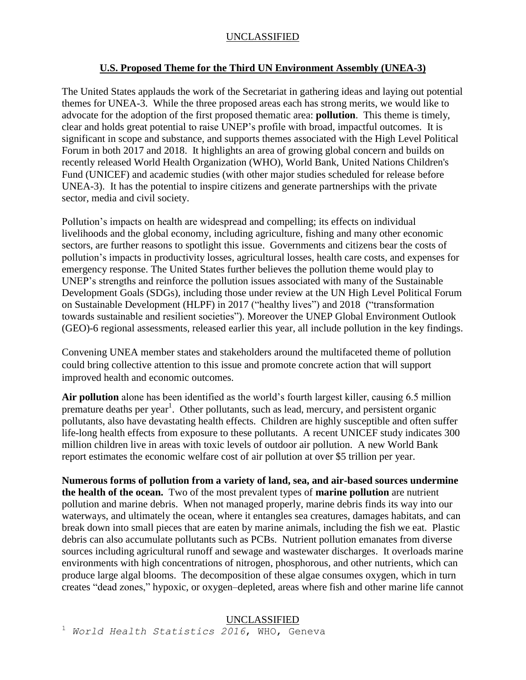# **U.S. Proposed Theme for the Third UN Environment Assembly (UNEA-3)**

The United States applauds the work of the Secretariat in gathering ideas and laying out potential themes for UNEA-3. While the three proposed areas each has strong merits, we would like to advocate for the adoption of the first proposed thematic area: **pollution**. This theme is timely, clear and holds great potential to raise UNEP's profile with broad, impactful outcomes. It is significant in scope and substance, and supports themes associated with the High Level Political Forum in both 2017 and 2018. It highlights an area of growing global concern and builds on recently released World Health Organization (WHO), World Bank, United Nations Children's Fund (UNICEF) and academic studies (with other major studies scheduled for release before UNEA-3). It has the potential to inspire citizens and generate partnerships with the private sector, media and civil society.

Pollution's impacts on health are widespread and compelling; its effects on individual livelihoods and the global economy, including agriculture, fishing and many other economic sectors, are further reasons to spotlight this issue. Governments and citizens bear the costs of pollution's impacts in productivity losses, agricultural losses, health care costs, and expenses for emergency response. The United States further believes the pollution theme would play to UNEP's strengths and reinforce the pollution issues associated with many of the Sustainable Development Goals (SDGs), including those under review at the UN High Level Political Forum on Sustainable Development (HLPF) in 2017 ("healthy lives") and 2018 ("transformation towards sustainable and resilient societies"). Moreover the UNEP Global Environment Outlook (GEO)-6 regional assessments, released earlier this year, all include pollution in the key findings.

Convening UNEA member states and stakeholders around the multifaceted theme of pollution could bring collective attention to this issue and promote concrete action that will support improved health and economic outcomes.

**Air pollution** alone has been identified as the world's fourth largest killer, causing 6.5 million premature deaths per year<sup>1</sup>. Other pollutants, such as lead, mercury, and persistent organic pollutants, also have devastating health effects. Children are highly susceptible and often suffer life-long health effects from exposure to these pollutants. A recent UNICEF study indicates 300 million children live in areas with toxic levels of outdoor air pollution. A new World Bank report estimates the economic welfare cost of air pollution at over \$5 trillion per year.

**Numerous forms of pollution from a variety of land, sea, and air-based sources undermine the health of the ocean.** Two of the most prevalent types of **marine pollution** are nutrient pollution and marine debris. When not managed properly, marine debris finds its way into our waterways, and ultimately the ocean, where it entangles sea creatures, damages habitats, and can break down into small pieces that are eaten by marine animals, including the fish we eat. Plastic debris can also accumulate pollutants such as PCBs. Nutrient pollution emanates from diverse sources including agricultural runoff and sewage and wastewater discharges. It overloads marine environments with high concentrations of nitrogen, phosphorous, and other nutrients, which can produce large algal blooms. The decomposition of these algae consumes oxygen, which in turn creates "dead zones," hypoxic, or oxygen–depleted, areas where fish and other marine life cannot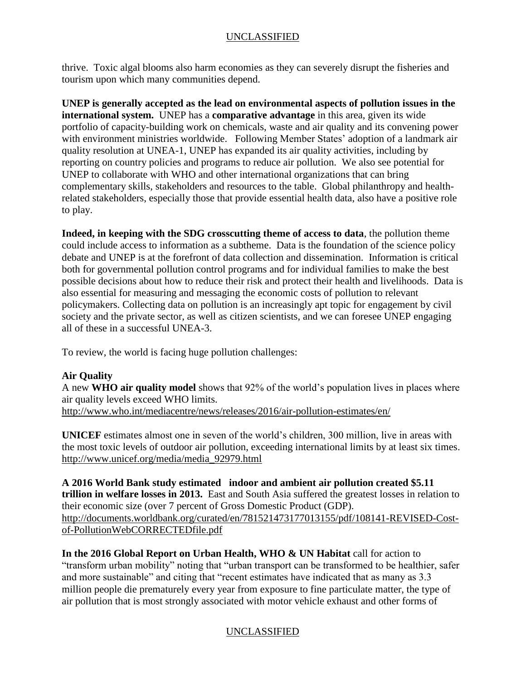thrive. Toxic algal blooms also harm economies as they can severely disrupt the fisheries and tourism upon which many communities depend.

**UNEP is generally accepted as the lead on environmental aspects of pollution issues in the international system.** UNEP has a **comparative advantage** in this area, given its wide portfolio of capacity-building work on chemicals, waste and air quality and its convening power with environment ministries worldwide. Following Member States' adoption of a landmark air quality resolution at UNEA-1, UNEP has expanded its air quality activities, including by reporting on country policies and programs to reduce air pollution. We also see potential for UNEP to collaborate with WHO and other international organizations that can bring complementary skills, stakeholders and resources to the table. Global philanthropy and healthrelated stakeholders, especially those that provide essential health data, also have a positive role to play.

**Indeed, in keeping with the SDG crosscutting theme of access to data**, the pollution theme could include access to information as a subtheme. Data is the foundation of the science policy debate and UNEP is at the forefront of data collection and dissemination. Information is critical both for governmental pollution control programs and for individual families to make the best possible decisions about how to reduce their risk and protect their health and livelihoods. Data is also essential for measuring and messaging the economic costs of pollution to relevant policymakers. Collecting data on pollution is an increasingly apt topic for engagement by civil society and the private sector, as well as citizen scientists, and we can foresee UNEP engaging all of these in a successful UNEA-3.

To review, the world is facing huge pollution challenges:

# **Air Quality**

A new **WHO air quality model** shows that 92% of the world's population lives in places where air quality levels exceed WHO limits. <http://www.who.int/mediacentre/news/releases/2016/air-pollution-estimates/en/>

**UNICEF** estimates almost one in seven of the world's children, 300 million, live in areas with the most toxic levels of outdoor air pollution, exceeding international limits by at least six times. [http://www.unicef.org/media/media\\_92979.html](http://www.unicef.org/media/media_92979.html)

**A 2016 World Bank study estimated indoor and ambient air pollution created \$5.11 trillion in welfare losses in 2013.** East and South Asia suffered the greatest losses in relation to their economic size (over 7 percent of Gross Domestic Product (GDP). [http://documents.worldbank.org/curated/en/781521473177013155/pdf/108141-REVISED-Cost](http://documents.worldbank.org/curated/en/781521473177013155/pdf/108141-REVISED-Cost-of-PollutionWebCORRECTEDfile.pdf)[of-PollutionWebCORRECTEDfile.pdf](http://documents.worldbank.org/curated/en/781521473177013155/pdf/108141-REVISED-Cost-of-PollutionWebCORRECTEDfile.pdf)

**In the 2016 Global Report on Urban Health, WHO & UN Habitat** call for action to "transform urban mobility" noting that "urban transport can be transformed to be healthier, safer and more sustainable" and citing that "recent estimates have indicated that as many as 3.3 million people die prematurely every year from exposure to fine particulate matter, the type of air pollution that is most strongly associated with motor vehicle exhaust and other forms of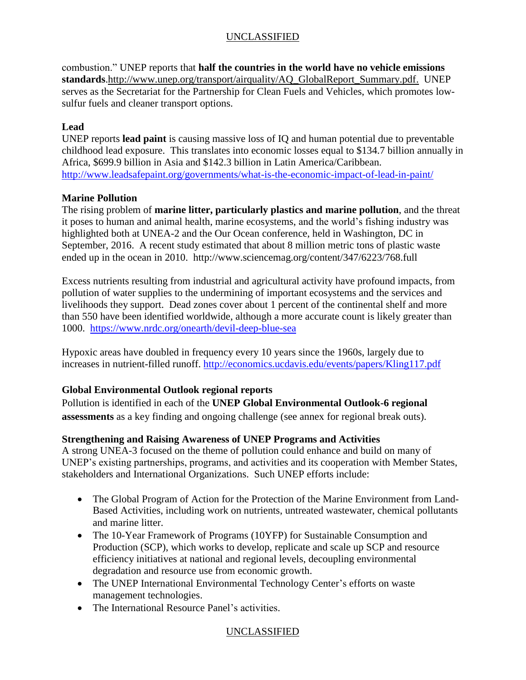combustion." UNEP reports that **half the countries in the world have no vehicle emissions standards**[.http://www.unep.org/transport/airquality/AQ\\_GlobalReport\\_Summary.pdf.](http://www.unep.org/transport/airquality/AQ_GlobalReport_Summary.pdf) UNEP serves as the Secretariat for the Partnership for Clean Fuels and Vehicles, which promotes lowsulfur fuels and cleaner transport options.

# **Lead**

UNEP reports **lead paint** is causing massive loss of IQ and human potential due to preventable childhood lead exposure. This translates into economic losses equal to \$134.7 billion annually in Africa, \$699.9 billion in Asia and \$142.3 billion in Latin America/Caribbean. <http://www.leadsafepaint.org/governments/what-is-the-economic-impact-of-lead-in-paint/>

# **Marine Pollution**

The rising problem of **marine litter, particularly plastics and marine pollution**, and the threat it poses to human and animal health, marine ecosystems, and the world's fishing industry was highlighted both at UNEA-2 and the Our Ocean conference, held in Washington, DC in September, 2016. A recent study estimated that about 8 million metric tons of plastic waste ended up in the ocean in 2010. http://www.sciencemag.org/content/347/6223/768.full

Excess nutrients resulting from industrial and agricultural activity have profound impacts, from pollution of water supplies to the undermining of important ecosystems and the services and livelihoods they support. Dead zones cover about 1 percent of the continental shelf and more than 550 have been identified worldwide, although a more accurate count is likely greater than 1000. <https://www.nrdc.org/onearth/devil-deep-blue-sea>

Hypoxic areas have doubled in frequency every 10 years since the 1960s, largely due to increases in nutrient-filled runoff.<http://economics.ucdavis.edu/events/papers/Kling117.pdf>

# **Global Environmental Outlook regional reports**

Pollution is identified in each of the **UNEP Global Environmental Outlook-6 regional assessments** as a key finding and ongoing challenge (see annex for regional break outs).

# **Strengthening and Raising Awareness of UNEP Programs and Activities**

A strong UNEA-3 focused on the theme of pollution could enhance and build on many of UNEP's existing partnerships, programs, and activities and its cooperation with Member States, stakeholders and International Organizations. Such UNEP efforts include:

- The Global Program of Action for the Protection of the Marine Environment from Land-Based Activities, including work on nutrients, untreated wastewater, chemical pollutants and marine litter.
- The 10-Year Framework of Programs (10YFP) for Sustainable Consumption and Production (SCP), which works to develop, replicate and scale up SCP and resource efficiency initiatives at national and regional levels, decoupling environmental degradation and resource use from economic growth.
- The UNEP International Environmental Technology Center's efforts on waste management technologies.
- The International Resource Panel's activities.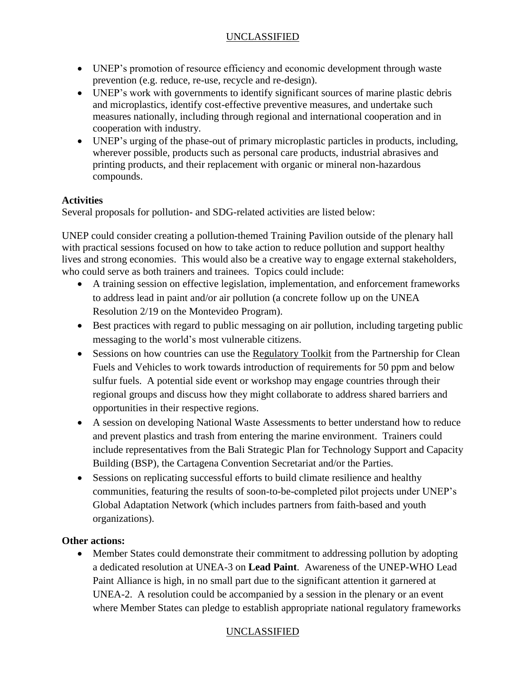- UNEP's promotion of resource efficiency and economic development through waste prevention (e.g. reduce, re-use, recycle and re-design).
- UNEP's work with governments to identify significant sources of marine plastic debris and microplastics, identify cost-effective preventive measures, and undertake such measures nationally, including through regional and international cooperation and in cooperation with industry.
- UNEP's urging of the phase-out of primary microplastic particles in products, including, wherever possible, products such as personal care products, industrial abrasives and printing products, and their replacement with organic or mineral non-hazardous compounds.

# **Activities**

Several proposals for pollution- and SDG-related activities are listed below:

UNEP could consider creating a pollution-themed Training Pavilion outside of the plenary hall with practical sessions focused on how to take action to reduce pollution and support healthy lives and strong economies. This would also be a creative way to engage external stakeholders, who could serve as both trainers and trainees. Topics could include:

- A training session on effective legislation, implementation, and enforcement frameworks to address lead in paint and/or air pollution (a concrete follow up on the UNEA Resolution 2/19 on the Montevideo Program).
- Best practices with regard to public messaging on air pollution, including targeting public messaging to the world's most vulnerable citizens.
- Sessions on how countries can use the [Regulatory Toolkit](http://www.unep.org/transport/new/PCFV/RegulatoryToolKit/index.html) from the Partnership for Clean Fuels and Vehicles to work towards introduction of requirements for 50 ppm and below sulfur fuels. A potential side event or workshop may engage countries through their regional groups and discuss how they might collaborate to address shared barriers and opportunities in their respective regions.
- A session on developing National Waste Assessments to better understand how to reduce and prevent plastics and trash from entering the marine environment. Trainers could include representatives from the Bali Strategic Plan for Technology Support and Capacity Building (BSP), the Cartagena Convention Secretariat and/or the Parties.
- Sessions on replicating successful efforts to build climate resilience and healthy communities, featuring the results of soon-to-be-completed pilot projects under UNEP's Global Adaptation Network (which includes partners from faith-based and youth organizations).

# **Other actions:**

 Member States could demonstrate their commitment to addressing pollution by adopting a dedicated resolution at UNEA-3 on **Lead Paint**. Awareness of the UNEP-WHO Lead Paint Alliance is high, in no small part due to the significant attention it garnered at UNEA-2. A resolution could be accompanied by a session in the plenary or an event where Member States can pledge to establish appropriate national regulatory frameworks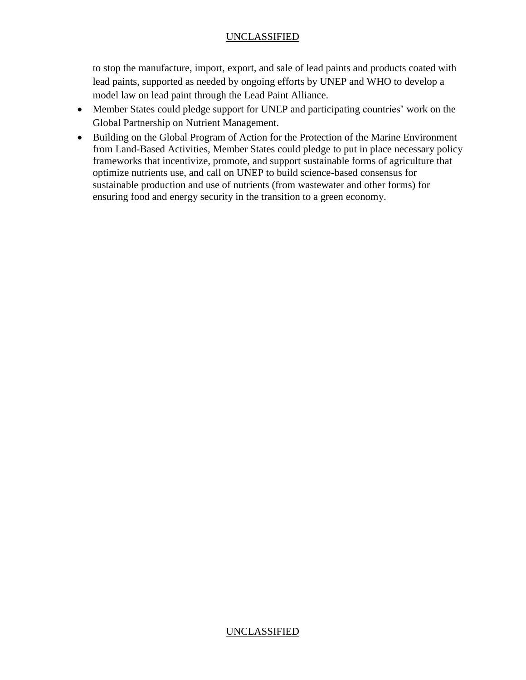to stop the manufacture, import, export, and sale of lead paints and products coated with lead paints, supported as needed by ongoing efforts by UNEP and WHO to develop a model law on lead paint through the Lead Paint Alliance.

- Member States could pledge support for UNEP and participating countries' work on the Global Partnership on Nutrient Management.
- Building on the Global Program of Action for the Protection of the Marine Environment from Land-Based Activities, Member States could pledge to put in place necessary policy frameworks that incentivize, promote, and support sustainable forms of agriculture that optimize nutrients use, and call on UNEP to build science-based consensus for sustainable production and use of nutrients (from wastewater and other forms) for ensuring food and energy security in the transition to a green economy.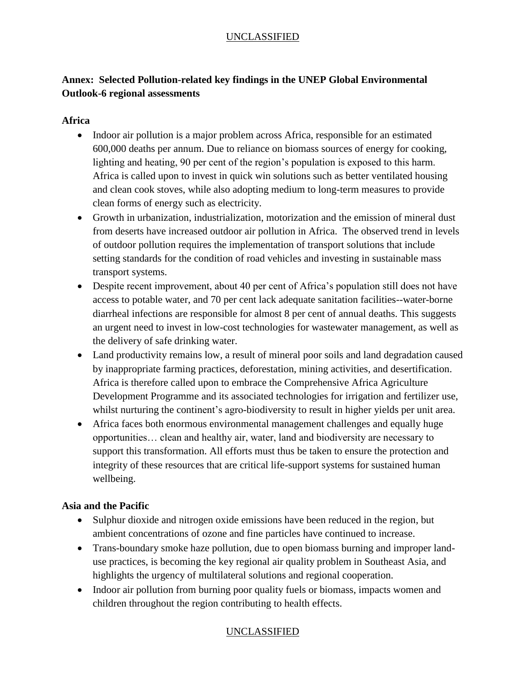# **Annex: Selected Pollution-related key findings in the UNEP Global Environmental Outlook-6 regional assessments**

#### **Africa**

- Indoor air pollution is a major problem across Africa, responsible for an estimated 600,000 deaths per annum. Due to reliance on biomass sources of energy for cooking, lighting and heating, 90 per cent of the region's population is exposed to this harm. Africa is called upon to invest in quick win solutions such as better ventilated housing and clean cook stoves, while also adopting medium to long-term measures to provide clean forms of energy such as electricity.
- Growth in urbanization, industrialization, motorization and the emission of mineral dust from deserts have increased outdoor air pollution in Africa. The observed trend in levels of outdoor pollution requires the implementation of transport solutions that include setting standards for the condition of road vehicles and investing in sustainable mass transport systems.
- Despite recent improvement, about 40 per cent of Africa's population still does not have access to potable water, and 70 per cent lack adequate sanitation facilities--water-borne diarrheal infections are responsible for almost 8 per cent of annual deaths. This suggests an urgent need to invest in low-cost technologies for wastewater management, as well as the delivery of safe drinking water.
- Land productivity remains low, a result of mineral poor soils and land degradation caused by inappropriate farming practices, deforestation, mining activities, and desertification. Africa is therefore called upon to embrace the Comprehensive Africa Agriculture Development Programme and its associated technologies for irrigation and fertilizer use, whilst nurturing the continent's agro-biodiversity to result in higher yields per unit area.
- Africa faces both enormous environmental management challenges and equally huge opportunities… clean and healthy air, water, land and biodiversity are necessary to support this transformation. All efforts must thus be taken to ensure the protection and integrity of these resources that are critical life-support systems for sustained human wellbeing.

# **Asia and the Pacific**

- Sulphur dioxide and nitrogen oxide emissions have been reduced in the region, but ambient concentrations of ozone and fine particles have continued to increase.
- Trans-boundary smoke haze pollution, due to open biomass burning and improper landuse practices, is becoming the key regional air quality problem in Southeast Asia, and highlights the urgency of multilateral solutions and regional cooperation.
- Indoor air pollution from burning poor quality fuels or biomass, impacts women and children throughout the region contributing to health effects.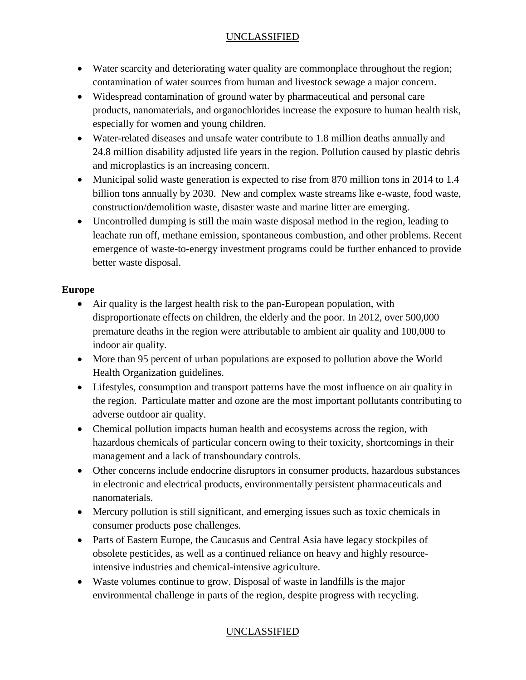- Water scarcity and deteriorating water quality are commonplace throughout the region; contamination of water sources from human and livestock sewage a major concern.
- Widespread contamination of ground water by pharmaceutical and personal care products, nanomaterials, and organochlorides increase the exposure to human health risk, especially for women and young children.
- Water-related diseases and unsafe water contribute to 1.8 million deaths annually and 24.8 million disability adjusted life years in the region. Pollution caused by plastic debris and microplastics is an increasing concern.
- Municipal solid waste generation is expected to rise from 870 million tons in 2014 to 1.4 billion tons annually by 2030. New and complex waste streams like e-waste, food waste, construction/demolition waste, disaster waste and marine litter are emerging.
- Uncontrolled dumping is still the main waste disposal method in the region, leading to leachate run off, methane emission, spontaneous combustion, and other problems. Recent emergence of waste-to-energy investment programs could be further enhanced to provide better waste disposal.

# **Europe**

- Air quality is the largest health risk to the pan-European population, with disproportionate effects on children, the elderly and the poor. In 2012, over 500,000 premature deaths in the region were attributable to ambient air quality and 100,000 to indoor air quality.
- More than 95 percent of urban populations are exposed to pollution above the World Health Organization guidelines.
- Lifestyles, consumption and transport patterns have the most influence on air quality in the region. Particulate matter and ozone are the most important pollutants contributing to adverse outdoor air quality.
- Chemical pollution impacts human health and ecosystems across the region, with hazardous chemicals of particular concern owing to their toxicity, shortcomings in their management and a lack of transboundary controls.
- Other concerns include endocrine disruptors in consumer products, hazardous substances in electronic and electrical products, environmentally persistent pharmaceuticals and nanomaterials.
- Mercury pollution is still significant, and emerging issues such as toxic chemicals in consumer products pose challenges.
- Parts of Eastern Europe, the Caucasus and Central Asia have legacy stockpiles of obsolete pesticides, as well as a continued reliance on heavy and highly resourceintensive industries and chemical-intensive agriculture.
- Waste volumes continue to grow. Disposal of waste in landfills is the major environmental challenge in parts of the region, despite progress with recycling.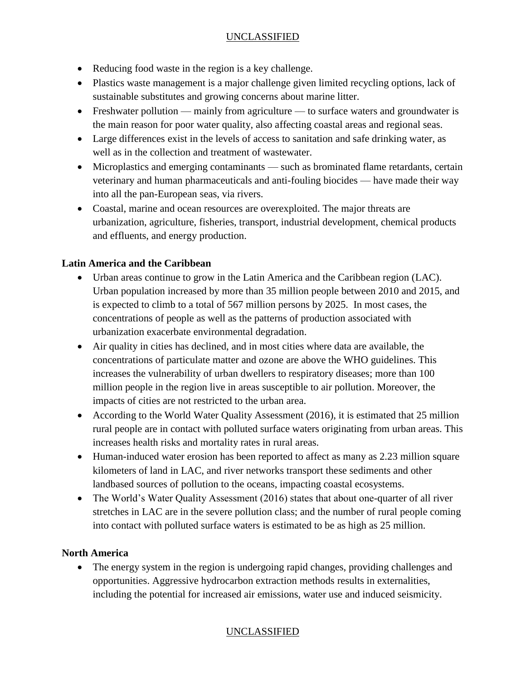- Reducing food waste in the region is a key challenge.
- Plastics waste management is a major challenge given limited recycling options, lack of sustainable substitutes and growing concerns about marine litter.
- Freshwater pollution mainly from agriculture to surface waters and groundwater is the main reason for poor water quality, also affecting coastal areas and regional seas.
- Large differences exist in the levels of access to sanitation and safe drinking water, as well as in the collection and treatment of wastewater.
- Microplastics and emerging contaminants such as brominated flame retardants, certain veterinary and human pharmaceuticals and anti-fouling biocides — have made their way into all the pan-European seas, via rivers.
- Coastal, marine and ocean resources are overexploited. The major threats are urbanization, agriculture, fisheries, transport, industrial development, chemical products and effluents, and energy production.

#### **Latin America and the Caribbean**

- Urban areas continue to grow in the Latin America and the Caribbean region (LAC). Urban population increased by more than 35 million people between 2010 and 2015, and is expected to climb to a total of 567 million persons by 2025. In most cases, the concentrations of people as well as the patterns of production associated with urbanization exacerbate environmental degradation.
- Air quality in cities has declined, and in most cities where data are available, the concentrations of particulate matter and ozone are above the WHO guidelines. This increases the vulnerability of urban dwellers to respiratory diseases; more than 100 million people in the region live in areas susceptible to air pollution. Moreover, the impacts of cities are not restricted to the urban area.
- According to the World Water Quality Assessment (2016), it is estimated that 25 million rural people are in contact with polluted surface waters originating from urban areas. This increases health risks and mortality rates in rural areas.
- Human-induced water erosion has been reported to affect as many as 2.23 million square kilometers of land in LAC, and river networks transport these sediments and other landbased sources of pollution to the oceans, impacting coastal ecosystems.
- The World's Water Quality Assessment (2016) states that about one-quarter of all river stretches in LAC are in the severe pollution class; and the number of rural people coming into contact with polluted surface waters is estimated to be as high as 25 million.

#### **North America**

 The energy system in the region is undergoing rapid changes, providing challenges and opportunities. Aggressive hydrocarbon extraction methods results in externalities, including the potential for increased air emissions, water use and induced seismicity.